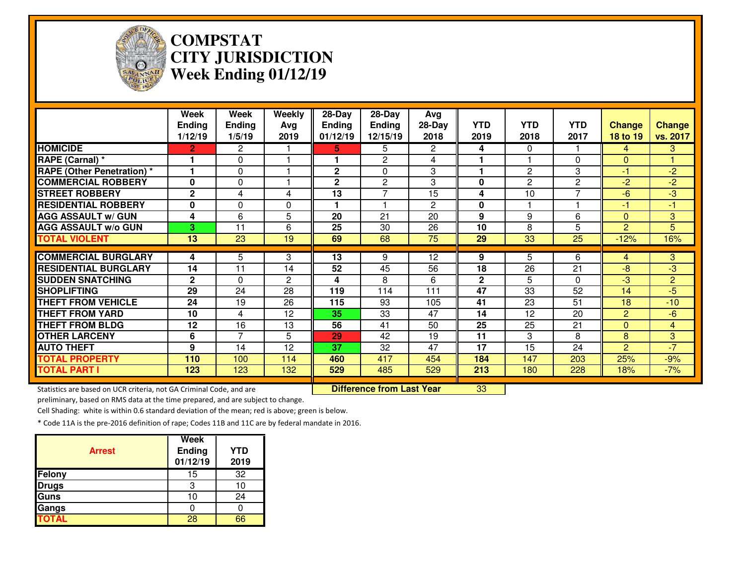

# **COMPSTAT CITY JURISDICTIONWeek Ending 01/12/19**

|                                                                      | Week<br><b>Ending</b><br>1/12/19 | Week<br><b>Ending</b><br>1/5/19 | Weekly<br>Avg<br>2019 | 28-Day<br><b>Ending</b><br>01/12/19 | 28-Day<br><b>Ending</b><br>12/15/19 | <b>Avg</b><br>$28-Day$<br>2018 | <b>YTD</b><br>2019 | <b>YTD</b><br>2018 | <b>YTD</b><br>2017 | <b>Change</b><br>18 to 19 | <b>Change</b><br>vs. 2017 |
|----------------------------------------------------------------------|----------------------------------|---------------------------------|-----------------------|-------------------------------------|-------------------------------------|--------------------------------|--------------------|--------------------|--------------------|---------------------------|---------------------------|
| <b>HOMICIDE</b>                                                      | $\overline{2}$                   | $\mathbf{2}^{\prime}$           |                       | 5.                                  | 5                                   | $\overline{2}$                 | 4                  | $\Omega$           |                    | 4                         | $\overline{3}$            |
| RAPE (Carnal) *                                                      |                                  | 0                               |                       | 1                                   | $\overline{2}$                      | 4                              |                    |                    | $\Omega$           | $\Omega$                  |                           |
| <b>RAPE (Other Penetration) *</b>                                    |                                  | 0                               |                       | $\mathbf{2}$                        | 0                                   | 3                              |                    | $\overline{2}$     | 3                  | $-1$                      | $-2$                      |
| <b>COMMERCIAL ROBBERY</b>                                            | $\bf{0}$                         | 0                               |                       | $\mathbf{2}$                        | 2                                   | 3                              | 0                  | $\overline{2}$     | $\overline{c}$     | $-2$                      | $-2$                      |
| <b>STREET ROBBERY</b>                                                | $\mathbf{2}$                     | 4                               | 4                     | 13                                  | 7                                   | 15                             | 4                  | 10                 | 7                  | -6                        | $-3$                      |
| <b>RESIDENTIAL ROBBERY</b>                                           | 0                                | 0                               | $\Omega$              |                                     |                                     | $\overline{2}$                 | 0                  |                    |                    | -1                        | $-1$                      |
| <b>AGG ASSAULT w/ GUN</b>                                            | 4                                | 6                               | 5                     | 20                                  | 21                                  | 20                             | 9                  | 9                  | 6                  | $\Omega$                  | 3                         |
| <b>AGG ASSAULT w/o GUN</b>                                           | 3                                | 11                              | 6                     | 25                                  | 30                                  | 26                             | 10                 | 8                  | 5                  | $\overline{2}$            | 5                         |
| <b>TOTAL VIOLENT</b>                                                 | 13                               | 23                              | 19                    | 69                                  | 68                                  | 75                             | 29                 | 33                 | 25                 | $-12%$                    | 16%                       |
|                                                                      |                                  |                                 |                       |                                     |                                     |                                |                    |                    |                    |                           |                           |
| <b>COMMERCIAL BURGLARY</b>                                           | 4                                | 5                               | 3                     | 13                                  | 9                                   | 12                             | 9                  | 5.                 | 6                  | 4                         | 3 <sup>1</sup>            |
| <b>RESIDENTIAL BURGLARY</b>                                          | 14                               | 11                              | 14                    | 52                                  | 45                                  | 56                             | 18                 | 26                 | 21                 | $-8$                      | $-3$                      |
| <b>SUDDEN SNATCHING</b>                                              | $\mathbf{2}$                     | $\Omega$                        | $\overline{2}$        | 4                                   | 8                                   | 6                              | $\mathbf{2}$       | 5                  | $\Omega$           | $-3$                      | $\overline{2}$            |
| <b>SHOPLIFTING</b>                                                   | 29                               | 24                              | 28                    | 119                                 | 114                                 | 111                            | 47                 | 33                 | 52                 | 14                        | $-5$                      |
| <b>THEFT FROM VEHICLE</b>                                            | 24                               | 19                              | 26                    | 115                                 | 93                                  | 105                            | 41                 | 23                 | 51                 | 18                        | $-10$                     |
| <b>THEFT FROM YARD</b>                                               | 10                               | 4                               | 12                    | 35                                  | 33                                  | 47                             | 14                 | 12                 | 20                 | $\overline{2}$            | $-6$                      |
| <b>THEFT FROM BLDG</b>                                               | 12                               | 16                              | 13                    | 56                                  | 41                                  | 50                             | 25                 | $\overline{25}$    | 21                 | $\mathbf{0}$              | $\overline{4}$            |
| <b>OTHER LARCENY</b>                                                 | 6                                | 7                               | 5                     | 29                                  | 42                                  | 19                             | 11                 | 3                  | 8                  | 8                         | 3                         |
| <b>AUTO THEFT</b>                                                    | 9                                | 14                              | 12                    | 37                                  | 32                                  | 47                             | 17                 | 15                 | 24                 | $\overline{2}$            | $-7$                      |
| <b>TOTAL PROPERTY</b>                                                | 110                              | 100                             | 114                   | 460                                 | 417                                 | 454                            | 184                | 147                | 203                | 25%                       | $-9%$                     |
| <b>TOTAL PART I</b>                                                  | 123                              | 123                             | 132                   | 529                                 | 485                                 | 529                            | 213                | 180                | 228                | 18%                       | $-7%$                     |
| Statistics are based on LICP criteria, not GA Criminal Code, and are |                                  |                                 |                       |                                     | Difference from Last Vear           |                                | 33                 |                    |                    |                           |                           |

tics are based on UCR criteria, not GA Criminal Code, and are **Difference from Last Year** 

<u>r 33</u>

preliminary, based on RMS data at the time prepared, and are subject to change.

Cell Shading: white is within 0.6 standard deviation of the mean; red is above; green is below.

| <b>Arrest</b> | Week<br><b>Ending</b><br>01/12/19 | <b>YTD</b><br>2019 |
|---------------|-----------------------------------|--------------------|
| Felony        | 15                                | 32                 |
| Drugs         |                                   |                    |
| <b>Guns</b>   | 10                                | 24                 |
| Gangs         |                                   |                    |
| <b>TOTAL</b>  | 28                                | ธร                 |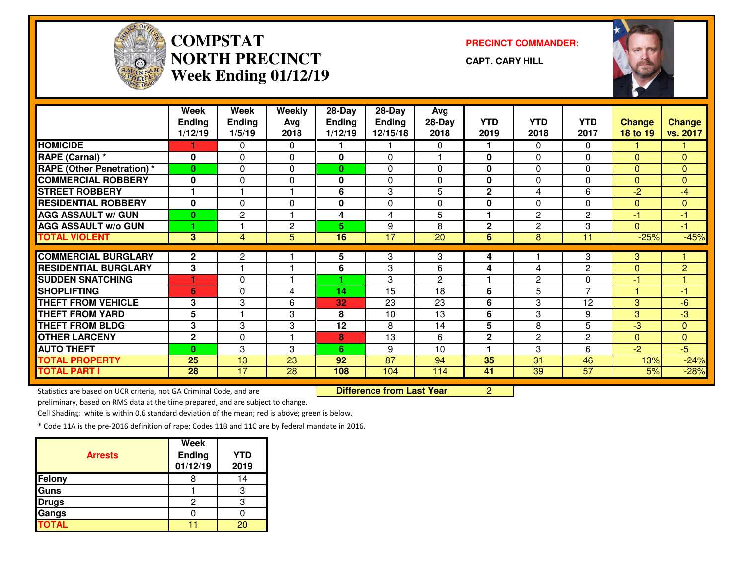

#### **COMPSTATNORTH PRECINCTWeek Ending 01/12/19**

**PRECINCT COMMANDER:**

**CAPT. CARY HILL**



|                                   | Week<br><b>Ending</b><br>1/12/19 | Week<br><b>Ending</b><br>1/5/19 | Weekly<br>Avg<br>2018   | 28-Day<br>Ending<br>1/12/19 | $28$ -Day<br>Ending<br>12/15/18 | Avg<br>$28-Day$<br>2018 | <b>YTD</b><br>2019 | <b>YTD</b><br>2018 | <b>YTD</b><br>2017 | <b>Change</b><br>18 to 19 | <b>Change</b><br>vs. 2017 |
|-----------------------------------|----------------------------------|---------------------------------|-------------------------|-----------------------------|---------------------------------|-------------------------|--------------------|--------------------|--------------------|---------------------------|---------------------------|
| <b>HOMICIDE</b>                   |                                  | $\mathbf{0}$                    | $\mathbf{0}$            |                             |                                 | 0                       | 1                  | 0                  | $\Omega$           |                           |                           |
| RAPE (Carnal) *                   | $\mathbf 0$                      | 0                               | $\Omega$                | 0                           | $\Omega$                        |                         | $\bf{0}$           | 0                  | $\Omega$           | $\Omega$                  | $\mathbf{0}$              |
| <b>RAPE (Other Penetration) *</b> | $\bf{0}$                         | 0                               | 0                       | $\bf{0}$                    | $\Omega$                        | $\Omega$                | 0                  | 0                  | $\Omega$           | $\Omega$                  | $\mathbf{0}$              |
| <b>COMMERCIAL ROBBERY</b>         | $\mathbf 0$                      | 0                               | 0                       | 0                           | $\Omega$                        | $\Omega$                | $\mathbf 0$        | 0                  | $\Omega$           | $\Omega$                  | $\mathbf{0}$              |
| <b>STREET ROBBERY</b>             |                                  |                                 |                         | 6                           | 3                               | 5                       | $\mathbf 2$        | 4                  | 6                  | $-2$                      | $-4$                      |
| <b>RESIDENTIAL ROBBERY</b>        | $\bf{0}$                         | 0                               | 0                       | 0                           | $\Omega$                        | $\Omega$                | 0                  | 0                  | $\Omega$           | $\Omega$                  | $\mathbf{0}$              |
| <b>AGG ASSAULT W/ GUN</b>         | $\bf{0}$                         | $\mathbf{2}$                    | $\overline{\mathbf{1}}$ | 4                           | 4                               | 5                       | 1                  | $\overline{c}$     | $\overline{2}$     | -1                        | $-1$                      |
| <b>AGG ASSAULT w/o GUN</b>        | 4                                |                                 | $\mathbf{2}$            | 5.                          | 9                               | 8                       | $\mathbf{2}$       | $\overline{c}$     | 3                  | $\Omega$                  | $-1$                      |
| <b>TOTAL VIOLENT</b>              | 3                                | $\overline{4}$                  | 5                       | $\overline{16}$             | $\overline{17}$                 | $\overline{20}$         | 6                  | 8                  | 11                 | $-25%$                    | $-45%$                    |
|                                   |                                  |                                 |                         |                             |                                 |                         |                    |                    |                    |                           |                           |
| <b>COMMERCIAL BURGLARY</b>        | $\mathbf{2}$                     | $\mathbf{2}$                    |                         | 5                           | 3                               | 3                       | 4                  |                    | 3                  | 3                         |                           |
| <b>RESIDENTIAL BURGLARY</b>       | 3                                |                                 |                         | 6                           | 3                               | 6                       | 4                  | 4                  | $\overline{c}$     | $\Omega$                  | $\overline{2}$            |
| <b>SUDDEN SNATCHING</b>           |                                  | $\Omega$                        |                         |                             | 3                               | 2                       | 1                  | 2                  | 0                  | -1                        |                           |
| <b>SHOPLIFTING</b>                | 6                                | 0                               | 4                       | 14                          | $1\overline{5}$                 | 18                      | 6                  | 5                  | $\overline{7}$     |                           | -1                        |
| <b>THEFT FROM VEHICLE</b>         | 3                                | 3                               | 6                       | 32                          | 23                              | 23                      | 6                  | 3                  | 12                 | 3                         | $-6$                      |
| <b>THEFT FROM YARD</b>            | 5                                |                                 | 3                       | 8                           | 10                              | 13                      | 6                  | 3                  | 9                  | 3                         | -3                        |
| <b>THEFT FROM BLDG</b>            | 3                                | 3                               | 3                       | 12                          | 8                               | 14                      | 5                  | 8                  | 5                  | $-3$                      | $\mathbf{0}$              |
| <b>OTHER LARCENY</b>              | $\mathbf{2}$                     | 0                               |                         | 8                           | 13                              | 6                       | $\mathbf{2}$       | $\overline{c}$     | $\overline{c}$     | $\Omega$                  | $\mathbf{0}$              |
| <b>AUTO THEFT</b>                 | $\bf{0}$                         | 3                               | 3                       | 6                           | 9                               | 10                      | 1                  | 3                  | 6                  | $-2$                      | $-5$                      |
| <b>TOTAL PROPERTY</b>             | 25                               | 13                              | 23                      | 92                          | 87                              | 94                      | 35                 | 31                 | 46                 | 13%                       | $-24%$                    |
| <b>TOTAL PART I</b>               | 28                               | 17                              | 28                      | 108                         | 104                             | 114                     | 41                 | 39                 | 57                 | 5%                        | $-28%$                    |

Statistics are based on UCR criteria, not GA Criminal Code, and are

Difference from Last Year 2

preliminary, based on RMS data at the time prepared, and are subject to change.

Cell Shading: white is within 0.6 standard deviation of the mean; red is above; green is below.

| <b>Arrests</b> | <b>Week</b><br>Ending<br>01/12/19 | <b>YTD</b><br>2019 |
|----------------|-----------------------------------|--------------------|
| Felony         |                                   | IΔ                 |
| <b>Guns</b>    |                                   | З                  |
| <b>Drugs</b>   | 2                                 | っ                  |
| Gangs          |                                   |                    |
| <b>TOTAL</b>   |                                   |                    |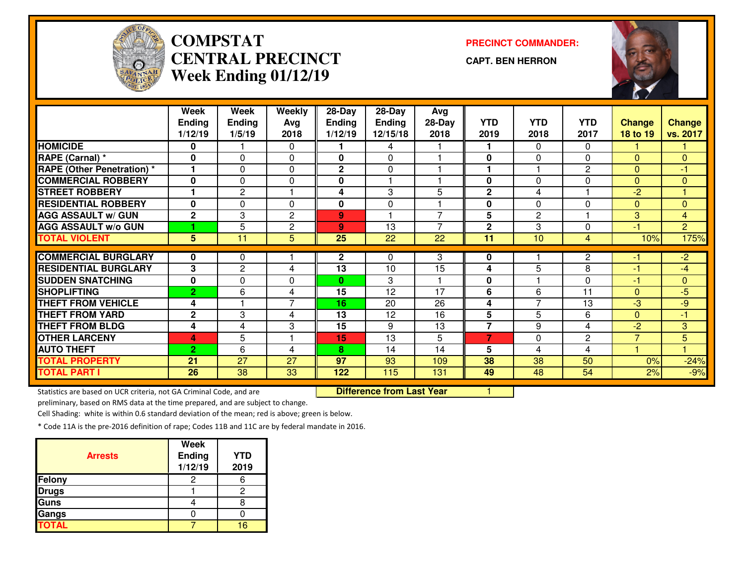

### **COMPSTAT PRECINCT COMMANDER: CENTRAL PRECINCTWeek Ending 01/12/19**

**CAPT. BEN HERRON**



|                                   | Week           | Week           | Weekly         | 28-Day          | 28-Day      | Avg            |                |                |                |                |                |
|-----------------------------------|----------------|----------------|----------------|-----------------|-------------|----------------|----------------|----------------|----------------|----------------|----------------|
|                                   | <b>Ending</b>  | <b>Ending</b>  | Avg            | <b>Ending</b>   | Ending      | 28-Day         | <b>YTD</b>     | <b>YTD</b>     | <b>YTD</b>     | <b>Change</b>  | <b>Change</b>  |
|                                   | 1/12/19        | 1/5/19         | 2018           | 1/12/19         | 12/15/18    | 2018           | 2019           | 2018           | 2017           | 18 to 19       | vs. 2017       |
| <b>HOMICIDE</b>                   | $\bf{0}$       |                | $\mathbf{0}$   |                 | 4           |                |                | 0              | $\Omega$       |                |                |
| RAPE (Carnal) *                   | $\bf{0}$       | 0              | $\Omega$       | 0               | 0           |                | $\bf{0}$       | 0              | $\Omega$       | $\Omega$       | $\mathbf{0}$   |
| <b>RAPE (Other Penetration) *</b> |                | $\Omega$       | $\Omega$       | $\mathbf{2}$    | 0           |                |                |                | $\overline{2}$ | $\Omega$       | -1             |
| <b>COMMERCIAL ROBBERY</b>         | $\bf{0}$       | 0              | 0              | 0               |             |                | 0              | 0              | $\Omega$       | $\Omega$       | $\mathbf{0}$   |
| <b>STREET ROBBERY</b>             |                | $\mathbf{2}$   |                | 4               | 3           | 5              | $\mathbf 2$    | 4              |                | $-2$           |                |
| <b>RESIDENTIAL ROBBERY</b>        | $\bf{0}$       | 0              | $\Omega$       | $\bf{0}$        | $\mathbf 0$ |                | $\bf{0}$       | 0              | 0              | $\mathbf{0}$   | $\mathbf{0}$   |
| <b>AGG ASSAULT w/ GUN</b>         | $\mathbf{2}$   | 3              | $\overline{c}$ | 9               |             | $\overline{7}$ | 5              | $\overline{c}$ |                | 3              | $\overline{4}$ |
| <b>AGG ASSAULT w/o GUN</b>        |                | 5              | $\overline{c}$ | 9               | 13          | $\overline{7}$ | $\mathbf 2$    | 3              | 0              | $-1$           | $\overline{2}$ |
| <b>TOTAL VIOLENT</b>              | 5 <sup>5</sup> | 11             | 5              | $\overline{25}$ | 22          | 22             | 11             | 10             | 4              | 10%            | 175%           |
|                                   |                |                |                |                 |             |                |                |                |                |                |                |
| <b>COMMERCIAL BURGLARY</b>        | 0              | 0              |                | $\mathbf{2}$    | 0           | 3              | 0              |                | $\overline{c}$ | -1             | $-2$           |
| <b>RESIDENTIAL BURGLARY</b>       | 3              | $\overline{c}$ | 4              | 13              | 10          | 15             | 4              | 5              | 8              | $-1$           | -4             |
| <b>ISUDDEN SNATCHING</b>          | $\mathbf 0$    | $\Omega$       | $\Omega$       | 0               | 3           |                | $\bf{0}$       |                | $\Omega$       | $-1$           | $\mathbf{0}$   |
| <b>SHOPLIFTING</b>                | $\overline{2}$ | 6              | 4              | 15              | 12          | 17             | 6              | 6              | 11             | $\Omega$       | -5             |
| <b>THEFT FROM VEHICLE</b>         | 4              |                | $\overline{7}$ | 16              | 20          | 26             | 4              | 7              | 13             | -3             | -9             |
| <b>THEFT FROM YARD</b>            | $\mathbf{2}$   | 3              | 4              | 13              | 12          | 16             | $5\phantom{1}$ | 5              | 6              | $\Omega$       | -1             |
| <b>THEFT FROM BLDG</b>            | 4              | 4              | 3              | 15              | 9           | 13             | $\overline{7}$ | 9              | 4              | $-2$           | 3              |
| <b>OTHER LARCENY</b>              | 4              | 5              |                | 15              | 13          | 5              | $\overline{7}$ | 0              | $\overline{2}$ | $\overline{7}$ | 5              |
| <b>AUTO THEFT</b>                 | $\overline{2}$ | 6              | 4              | 8               | 14          | 14             | 5              | 4              | 4              |                |                |
| <b>TOTAL PROPERTY</b>             | 21             | 27             | 27             | 97              | 93          | 109            | 38             | 38             | 50             | 0%             | $-24%$         |
| <b>TOTAL PART I</b>               | 26             | 38             | 33             | 122             | 115         | 131            | 49             | 48             | 54             | 2%             | $-9%$          |

Statistics are based on UCR criteria, not GA Criminal Code, and are

**Difference from Last Year** 

preliminary, based on RMS data at the time prepared, and are subject to change.

Cell Shading: white is within 0.6 standard deviation of the mean; red is above; green is below.

| <b>Arrests</b> | Week<br><b>Ending</b><br>1/12/19 | YTD<br>2019 |
|----------------|----------------------------------|-------------|
| Felony         |                                  |             |
| <b>Drugs</b>   |                                  | 2           |
| Guns           |                                  |             |
| Gangs          |                                  |             |
| <b>TOTAL</b>   |                                  | 16          |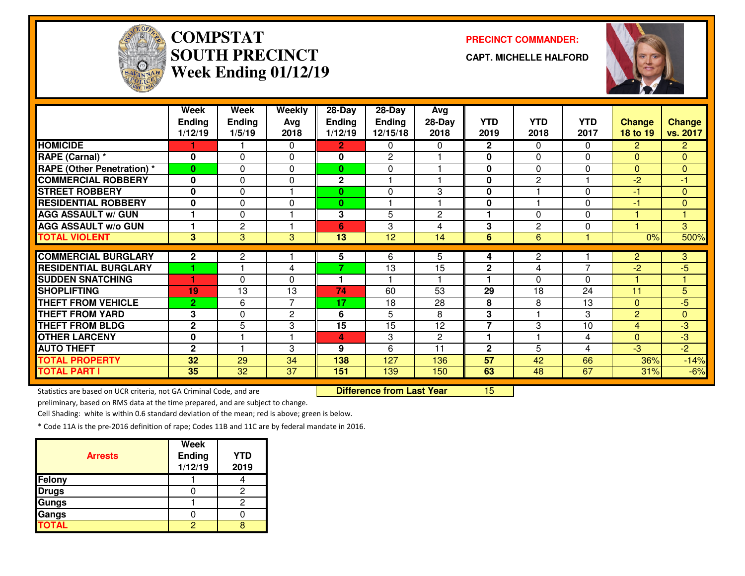

## **COMPSTAT PRECINCT COMMANDER: SOUTH PRECINCTWeek Ending 01/12/19**

**CAPT. MICHELLE HALFORD**



|                                   | Week<br><b>Ending</b><br>1/12/19 | <b>Week</b><br>Ending<br>1/5/19 | Weekly<br>Avg<br>2018 | 28-Day<br><b>Ending</b><br>1/12/19 | 28-Day<br><b>Ending</b><br>12/15/18 | Avg<br>28-Day<br>2018 | <b>YTD</b><br>2019 | <b>YTD</b><br>2018 | <b>YTD</b><br>2017 | <b>Change</b><br>18 to 19 | <b>Change</b><br>vs. 2017 |
|-----------------------------------|----------------------------------|---------------------------------|-----------------------|------------------------------------|-------------------------------------|-----------------------|--------------------|--------------------|--------------------|---------------------------|---------------------------|
| <b>HOMICIDE</b>                   |                                  |                                 | $\Omega$              | $\overline{2}$                     | 0                                   | 0                     | $\mathbf{2}$       | $\Omega$           | $\mathbf{0}$       | $\overline{2}$            | $\mathbf{2}$              |
| RAPE (Carnal) *                   | 0                                | $\Omega$                        | $\Omega$              | 0                                  | $\mathbf{2}$                        |                       | 0                  | $\Omega$           | $\Omega$           | $\Omega$                  | $\mathbf{0}$              |
| <b>RAPE (Other Penetration) *</b> | $\bf{0}$                         | 0                               | 0                     | $\mathbf{0}$                       | 0                                   |                       | 0                  | 0                  | 0                  | $\Omega$                  | $\mathbf{0}$              |
| <b>COMMERCIAL ROBBERY</b>         | 0                                | 0                               | 0                     | $\mathbf{2}$                       |                                     |                       | 0                  | $\mathbf{2}$       |                    | $-2$                      | $-1$                      |
| <b>ISTREET ROBBERY</b>            | $\mathbf 0$                      | $\Omega$                        |                       | 0                                  | 0                                   | 3                     | 0                  |                    | $\Omega$           | $-1$                      | $\mathbf{0}$              |
| <b>RESIDENTIAL ROBBERY</b>        | $\mathbf 0$                      | 0                               | $\Omega$              | $\bf{0}$                           |                                     |                       | $\mathbf 0$        |                    | $\Omega$           | $-1$                      | $\overline{0}$            |
| <b>AGG ASSAULT w/ GUN</b>         |                                  | $\Omega$                        |                       | 3                                  | 5                                   | $\overline{c}$        |                    | $\Omega$           | $\Omega$           |                           | 1                         |
| <b>AGG ASSAULT W/o GUN</b>        | $\blacktriangleleft$             | $\overline{c}$                  |                       | 6                                  | 3                                   | 4                     | 3                  | $\mathbf{2}$       | $\Omega$           |                           | 3                         |
| <b>TOTAL VIOLENT</b>              | $\mathbf{3}$                     | 3                               | 3                     | 13                                 | 12                                  | 14                    | 6                  | 6                  |                    | 0%                        | 500%                      |
| <b>COMMERCIAL BURGLARY</b>        | $\mathbf{2}$                     | $\mathbf{2}$                    |                       | 5                                  | 6                                   | 5                     | 4                  | $\mathbf{2}$       |                    | $\overline{2}$            | 3                         |
| <b>RESIDENTIAL BURGLARY</b>       |                                  |                                 | 4                     | $\overline{7}$                     | 13                                  | 15                    | $\mathbf{2}$       | 4                  | $\overline{7}$     | $-2$                      | -5                        |
| <b>SUDDEN SNATCHING</b>           |                                  | $\Omega$                        | 0                     | 1.                                 |                                     |                       |                    | $\Omega$           | $\Omega$           |                           | 1                         |
| <b>SHOPLIFTING</b>                | 19                               | 13                              | 13                    | 74                                 | 60                                  | 53                    | 29                 | 18                 | 24                 | 11                        | 5                         |
| <b>THEFT FROM VEHICLE</b>         | $\overline{2}$                   | 6                               | $\overline{7}$        | 17                                 | 18                                  | 28                    | 8                  | 8                  | 13                 | $\Omega$                  | $-5$                      |
| <b>THEFT FROM YARD</b>            | 3                                | 0                               | 2                     | 6                                  | 5                                   | 8                     | 3                  |                    | 3                  | $\overline{2}$            | $\mathbf{0}$              |
| <b>THEFT FROM BLDG</b>            | $\mathbf{2}$                     | 5                               | 3                     | 15                                 | 15                                  | 12                    | $\overline{7}$     | 3                  | 10                 | $\overline{4}$            | $-3$                      |
| <b>OTHER LARCENY</b>              | $\mathbf 0$                      |                                 |                       | 4                                  | 3                                   | $\overline{c}$        |                    |                    | 4                  | $\Omega$                  | $-3$                      |
|                                   |                                  |                                 |                       |                                    |                                     |                       |                    |                    |                    |                           |                           |
| <b>AUTO THEFT</b>                 | $\mathbf{2}$                     |                                 | 3                     | 9                                  | 6                                   | 11                    | $\mathbf{2}$       | 5                  | 4                  | $-3$                      | $\overline{-2}$           |
| <b>TOTAL PROPERTY</b>             | 32                               | 29                              | 34                    | 138                                | 127                                 | 136                   | 57                 | 42                 | 66                 | 36%                       |                           |
| <b>TOTAL PART I</b>               | 35                               | 32                              | 37                    | 151                                | 139                                 | 150                   | 63                 | 48                 | 67                 | 31%                       | $-14%$<br>$-6%$           |

Statistics are based on UCR criteria, not GA Criminal Code, and are **Difference from Last Year** 

preliminary, based on RMS data at the time prepared, and are subject to change.

Cell Shading: white is within 0.6 standard deviation of the mean; red is above; green is below.

| <b>Arrests</b> | Week<br><b>Ending</b><br>1/12/19 | <b>YTD</b><br>2019 |
|----------------|----------------------------------|--------------------|
| Felony         |                                  |                    |
| <b>Drugs</b>   |                                  | 2                  |
| Gungs          |                                  | 2                  |
| Gangs          |                                  |                    |
| <b>TOTAL</b>   |                                  |                    |